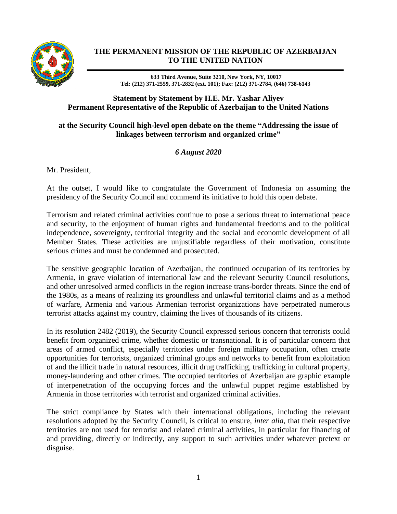

## **THE PERMANENT MISSION OF THE REPUBLIC OF AZERBAIJAN TO THE UNITED NATION**

**633 Third Avenue, Suite 3210, New York, NY, 10017 Tel: (212) 371-2559, 371-2832 (ext. 101); Fax: (212) 371-2784, (646) 738-6143**

## **Statement by Statement by H.E. Mr. Yashar Aliyev Permanent Representative of the Republic of Azerbaijan to the United Nations**

## **at the Security Council high-level open debate on the theme "Addressing the issue of linkages between terrorism and organized crime"**

*6 August 2020*

Mr. President,

At the outset, I would like to congratulate the Government of Indonesia on assuming the presidency of the Security Council and commend its initiative to hold this open debate.

Terrorism and related criminal activities continue to pose a serious threat to international peace and security, to the enjoyment of human rights and fundamental freedoms and to the political independence, sovereignty, territorial integrity and the social and economic development of all Member States. These activities are unjustifiable regardless of their motivation, constitute serious crimes and must be condemned and prosecuted.

The sensitive geographic location of Azerbaijan, the continued occupation of its territories by Armenia, in grave violation of international law and the relevant Security Council resolutions, and other unresolved armed conflicts in the region increase trans-border threats. Since the end of the 1980s, as a means of realizing its groundless and unlawful territorial claims and as a method of warfare, Armenia and various Armenian terrorist organizations have perpetrated numerous terrorist attacks against my country, claiming the lives of thousands of its citizens.

In its resolution 2482 (2019), the Security Council expressed serious concern that terrorists could benefit from organized crime, whether domestic or transnational. It is of particular concern that areas of armed conflict, especially territories under foreign military occupation, often create opportunities for terrorists, organized criminal groups and networks to benefit from exploitation of and the illicit trade in natural resources, illicit drug trafficking, trafficking in cultural property, money-laundering and other crimes. The occupied territories of Azerbaijan are graphic example of interpenetration of the occupying forces and the unlawful puppet regime established by Armenia in those territories with terrorist and organized criminal activities.

The strict compliance by States with their international obligations, including the relevant resolutions adopted by the Security Council, is critical to ensure, *inter alia*, that their respective territories are not used for terrorist and related criminal activities, in particular for financing of and providing, directly or indirectly, any support to such activities under whatever pretext or disguise.